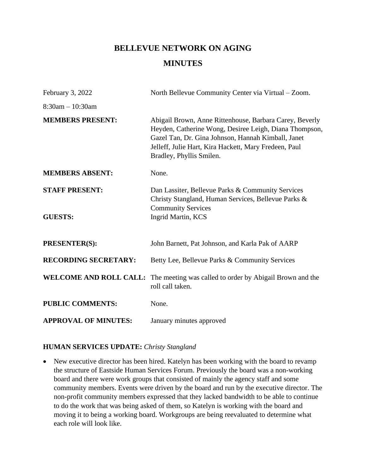# **BELLEVUE NETWORK ON AGING MINUTES**

| February 3, 2022              | North Bellevue Community Center via Virtual – Zoom.                                                                                                                                                                                                          |
|-------------------------------|--------------------------------------------------------------------------------------------------------------------------------------------------------------------------------------------------------------------------------------------------------------|
| $8:30am - 10:30am$            |                                                                                                                                                                                                                                                              |
| <b>MEMBERS PRESENT:</b>       | Abigail Brown, Anne Rittenhouse, Barbara Carey, Beverly<br>Heyden, Catherine Wong, Desiree Leigh, Diana Thompson,<br>Gazel Tan, Dr. Gina Johnson, Hannah Kimball, Janet<br>Jelleff, Julie Hart, Kira Hackett, Mary Fredeen, Paul<br>Bradley, Phyllis Smilen. |
| <b>MEMBERS ABSENT:</b>        | None.                                                                                                                                                                                                                                                        |
| <b>STAFF PRESENT:</b>         | Dan Lassiter, Bellevue Parks & Community Services<br>Christy Stangland, Human Services, Bellevue Parks &<br><b>Community Services</b>                                                                                                                        |
| <b>GUESTS:</b>                | Ingrid Martin, KCS                                                                                                                                                                                                                                           |
| <b>PRESENTER(S):</b>          | John Barnett, Pat Johnson, and Karla Pak of AARP                                                                                                                                                                                                             |
| <b>RECORDING SECRETARY:</b>   | Betty Lee, Bellevue Parks & Community Services                                                                                                                                                                                                               |
| <b>WELCOME AND ROLL CALL:</b> | The meeting was called to order by Abigail Brown and the<br>roll call taken.                                                                                                                                                                                 |
| <b>PUBLIC COMMENTS:</b>       | None.                                                                                                                                                                                                                                                        |
| <b>APPROVAL OF MINUTES:</b>   | January minutes approved                                                                                                                                                                                                                                     |

#### **HUMAN SERVICES UPDATE:** *Christy Stangland*

• New executive director has been hired. Katelyn has been working with the board to revamp the structure of Eastside Human Services Forum. Previously the board was a non-working board and there were work groups that consisted of mainly the agency staff and some community members. Events were driven by the board and run by the executive director. The non-profit community members expressed that they lacked bandwidth to be able to continue to do the work that was being asked of them, so Katelyn is working with the board and moving it to being a working board. Workgroups are being reevaluated to determine what each role will look like.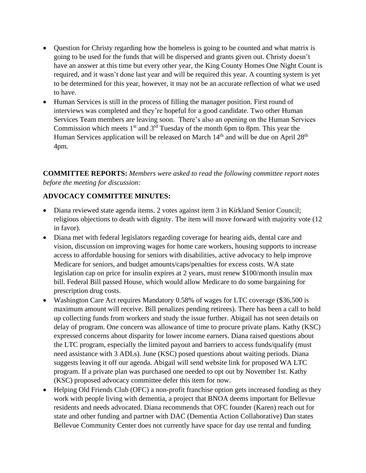- Question for Christy regarding how the homeless is going to be counted and what matrix is going to be used for the funds that will be dispersed and grants given out. Christy doesn't have an answer at this time but every other year, the King County Homes One Night Count is required, and it wasn't done last year and will be required this year. A counting system is yet to be determined for this year, however, it may not be an accurate reflection of what we used to have.
- Human Services is still in the process of filling the manager position. First round of interviews was completed and they're hopeful for a good candidate. Two other Human Services Team members are leaving soon. There's also an opening on the Human Services Commission which meets  $1<sup>st</sup>$  and  $3<sup>rd</sup>$  Tuesday of the month 6pm to 8pm. This year the Human Services application will be released on March  $14<sup>th</sup>$  and will be due on April  $28<sup>th</sup>$ 4pm.

**COMMITTEE REPORTS:** *Members were asked to read the following committee report notes before the meeting for discussion:* 

## **ADVOCACY COMMITTEE MINUTES:**

- Diana reviewed state agenda items. 2 votes against item 3 in Kirkland Senior Council; religious objections to death with dignity. The item will move forward with majority vote (12 in favor).
- Diana met with federal legislators regarding coverage for hearing aids, dental care and vision, discussion on improving wages for home care workers, housing supports to increase access to affordable housing for seniors with disabilities, active advocacy to help improve Medicare for seniors, and budget amounts/caps/penalties for excess costs. WA state legislation cap on price for insulin expires at 2 years, must renew \$100/month insulin max bill. Federal Bill passed House, which would allow Medicare to do some bargaining for prescription drug costs.
- Washington Care Act requires Mandatory 0.58% of wages for LTC coverage (\$36,500 is maximum amount will receive. Bill penalizes pending retirees). There has been a call to hold up collecting funds from workers and study the issue further. Abigail has not seen details on delay of program. One concern was allowance of time to procure private plans. Kathy (KSC) expressed concerns about disparity for lower income earners. Diana raised questions about the LTC program, especially the limited payout and barriers to access funds/qualify (must need assistance with 3 ADLs). June (KSC) posed questions about waiting periods. Diana suggests leaving it off our agenda. Abigail will send website link for proposed WA LTC program. If a private plan was purchased one needed to opt out by November 1st. Kathy (KSC) proposed advocacy committee defer this item for now.
- Helping Old Friends Club (OFC) a non-profit franchise option gets increased funding as they work with people living with dementia, a project that BNOA deems important for Bellevue residents and needs advocated. Diana recommends that OFC founder (Karen) reach out for state and other funding and partner with DAC (Dementia Action Collaborative) Dan states Bellevue Community Center does not currently have space for day use rental and funding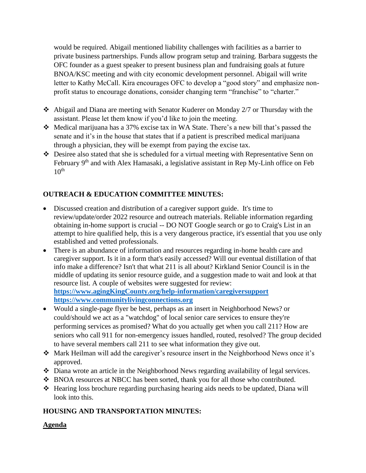would be required. Abigail mentioned liability challenges with facilities as a barrier to private business partnerships. Funds allow program setup and training. Barbara suggests the OFC founder as a guest speaker to present business plan and fundraising goals at future BNOA/KSC meeting and with city economic development personnel. Abigail will write letter to Kathy McCall. Kira encourages OFC to develop a "good story" and emphasize nonprofit status to encourage donations, consider changing term "franchise" to "charter."

- ❖ Abigail and Diana are meeting with Senator Kuderer on Monday 2/7 or Thursday with the assistant. Please let them know if you'd like to join the meeting.
- ❖ Medical marijuana has a 37% excise tax in WA State. There's a new bill that's passed the senate and it's in the house that states that if a patient is prescribed medical marijuana through a physician, they will be exempt from paying the excise tax.
- ❖ Desiree also stated that she is scheduled for a virtual meeting with Representative Senn on February 9<sup>th</sup> and with Alex Hamasaki, a legislative assistant in Rep My-Linh office on Feb  $10<sup>th</sup>$

## **OUTREACH & EDUCATION COMMITTEE MINUTES:**

- Discussed creation and distribution of a caregiver support guide. It's time to review/update/order 2022 resource and outreach materials. Reliable information regarding obtaining in-home support is crucial -- DO NOT Google search or go to Craig's List in an attempt to hire qualified help, this is a very dangerous practice, it's essential that you use only established and vetted professionals.
- There is an abundance of information and resources regarding in-home health care and caregiver support. Is it in a form that's easily accessed? Will our eventual distillation of that info make a difference? Isn't that what 211 is all about? Kirkland Senior Council is in the middle of updating its senior resource guide, and a suggestion made to wait and look at that resource list. A couple of websites were suggested for review: **[https://www.agingKingCounty.org/help-information/caregiversupport](https://www.agingkingcounty.org/help-information/caregiversupport) [https://www.communitylivingconnections.org](https://www.communitylivingconnections.org/)**
- Would a single-page flyer be best, perhaps as an insert in Neighborhood News? or could/should we act as a "watchdog" of local senior care services to ensure they're performing services as promised? What do you actually get when you call 211? How are seniors who call 911 for non-emergency issues handled, routed, resolved? The group decided to have several members call 211 to see what information they give out.
- ❖ Mark Heilman will add the caregiver's resource insert in the Neighborhood News once it's approved.
- ❖ Diana wrote an article in the Neighborhood News regarding availability of legal services.
- ❖ BNOA resources at NBCC has been sorted, thank you for all those who contributed.
- ❖ Hearing loss brochure regarding purchasing hearing aids needs to be updated, Diana will look into this.

## **HOUSING AND TRANSPORTATION MINUTES:**

## **Agenda**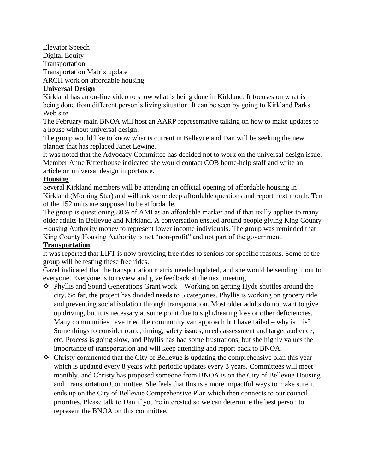Elevator Speech Digital Equity Transportation Transportation Matrix update ARCH work on affordable housing

#### **Universal Design**

Kirkland has an on-line video to show what is being done in Kirkland. It focuses on what is being done from different person's living situation. It can be seen by going to Kirkland Parks Web site.

The February main BNOA will host an AARP representative talking on how to make updates to a house without universal design.

The group would like to know what is current in Bellevue and Dan will be seeking the new planner that has replaced Janet Lewine.

It was noted that the Advocacy Committee has decided not to work on the universal design issue. Member Anne Rittenhouse indicated she would contact COB home-help staff and write an article on universal design importance.

#### **Housing**

Several Kirkland members will be attending an official opening of affordable housing in Kirkland (Morning Star) and will ask some deep affordable questions and report next month. Ten of the 152 units are supposed to be affordable.

The group is questioning 80% of AMI as an affordable marker and if that really applies to many older adults in Bellevue and Kirkland. A conversation ensued around people giving King County Housing Authority money to represent lower income individuals. The group was reminded that King County Housing Authority is not "non-profit" and not part of the government.

#### **Transportation**

It was reported that LIFT is now providing free rides to seniors for specific reasons. Some of the group will be testing these free rides.

Gazel indicated that the transportation matrix needed updated, and she would be sending it out to everyone. Everyone is to review and give feedback at the next meeting.

- ❖ Phyllis and Sound Generations Grant work Working on getting Hyde shuttles around the city. So far, the project has divided needs to 5 categories. Phyllis is working on grocery ride and preventing social isolation through transportation. Most older adults do not want to give up driving, but it is necessary at some point due to sight/hearing loss or other deficiencies. Many communities have tried the community van approach but have failed – why is this? Some things to consider route, timing, safety issues, needs assessment and target audience, etc. Process is going slow, and Phyllis has had some frustrations, but she highly values the importance of transportation and will keep attending and report back to BNOA.
- ❖ Christy commented that the City of Bellevue is updating the comprehensive plan this year which is updated every 8 years with periodic updates every 3 years. Committees will meet monthly, and Christy has proposed someone from BNOA is on the City of Bellevue Housing and Transportation Committee. She feels that this is a more impactful ways to make sure it ends up on the City of Bellevue Comprehensive Plan which then connects to our council priorities. Please talk to Dan if you're interested so we can determine the best person to represent the BNOA on this committee.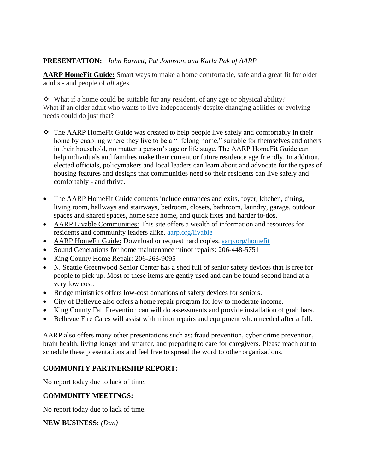#### **PRESENTATION:** *John Barnett, Pat Johnson, and Karla Pak of AARP*

**AARP HomeFit Guide:** Smart ways to make a home comfortable, safe and a great fit for older adults - and people of *all* ages.

❖ What if a home could be suitable for any resident, of any age or physical ability? What if an older adult who wants to live independently despite changing abilities or evolving needs could do just that?

- ❖ The AARP HomeFit Guide was created to help people live safely and comfortably in their home by enabling where they live to be a "lifelong home," suitable for themselves and others in their household, no matter a person's age or life stage. The AARP HomeFit Guide can help individuals and families make their current or future residence age friendly. In addition, elected officials, policymakers and local leaders can learn about and advocate for the types of housing features and designs that communities need so their residents can live safely and comfortably - and thrive.
- The AARP HomeFit Guide contents include entrances and exits, foyer, kitchen, dining, living room, hallways and stairways, bedroom, closets, bathroom, laundry, garage, outdoor spaces and shared spaces, home safe home, and quick fixes and harder to-dos.
- AARP Livable Communities: This site offers a wealth of information and resources for residents and community leaders alike. [aarp.org/livable](http://www.aarp.org/livable)
- AARP HomeFit Guide: Download or request hard copies. [aarp.org/homefit](http://www.aarp.org/homefit)
- Sound Generations for home maintenance minor repairs: 206-448-5751
- King County Home Repair: 206-263-9095
- N. Seattle Greenwood Senior Center has a shed full of senior safety devices that is free for people to pick up. Most of these items are gently used and can be found second hand at a very low cost.
- Bridge ministries offers low-cost donations of safety devices for seniors.
- City of Bellevue also offers a home repair program for low to moderate income.
- King County Fall Prevention can will do assessments and provide installation of grab bars.
- Bellevue Fire Cares will assist with minor repairs and equipment when needed after a fall.

AARP also offers many other presentations such as: fraud prevention, cyber crime prevention, brain health, living longer and smarter, and preparing to care for caregivers. Please reach out to schedule these presentations and feel free to spread the word to other organizations.

## **COMMUNITY PARTNERSHIP REPORT:**

No report today due to lack of time.

#### **COMMUNITY MEETINGS:**

No report today due to lack of time.

#### **NEW BUSINESS:** *(Dan)*